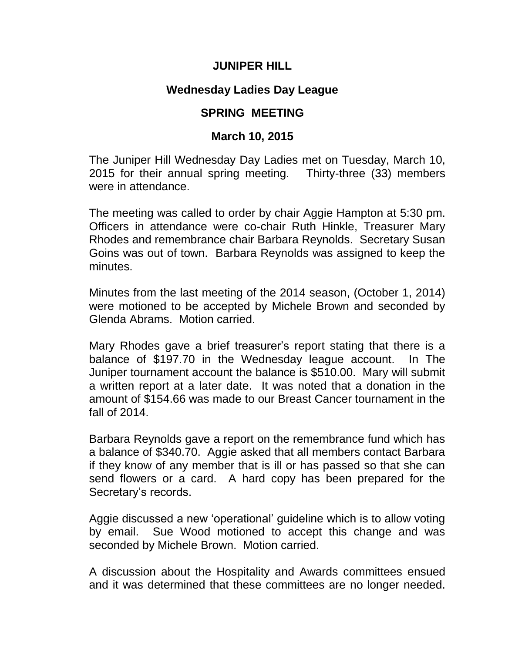## **JUNIPER HILL**

## **Wednesday Ladies Day League**

## **SPRING MEETING**

## **March 10, 2015**

The Juniper Hill Wednesday Day Ladies met on Tuesday, March 10, 2015 for their annual spring meeting. Thirty-three (33) members were in attendance.

The meeting was called to order by chair Aggie Hampton at 5:30 pm. Officers in attendance were co-chair Ruth Hinkle, Treasurer Mary Rhodes and remembrance chair Barbara Reynolds. Secretary Susan Goins was out of town. Barbara Reynolds was assigned to keep the minutes.

Minutes from the last meeting of the 2014 season, (October 1, 2014) were motioned to be accepted by Michele Brown and seconded by Glenda Abrams. Motion carried.

Mary Rhodes gave a brief treasurer's report stating that there is a balance of \$197.70 in the Wednesday league account. In The Juniper tournament account the balance is \$510.00. Mary will submit a written report at a later date. It was noted that a donation in the amount of \$154.66 was made to our Breast Cancer tournament in the fall of 2014.

Barbara Reynolds gave a report on the remembrance fund which has a balance of \$340.70. Aggie asked that all members contact Barbara if they know of any member that is ill or has passed so that she can send flowers or a card. A hard copy has been prepared for the Secretary's records.

Aggie discussed a new 'operational' guideline which is to allow voting by email. Sue Wood motioned to accept this change and was seconded by Michele Brown. Motion carried.

A discussion about the Hospitality and Awards committees ensued and it was determined that these committees are no longer needed.